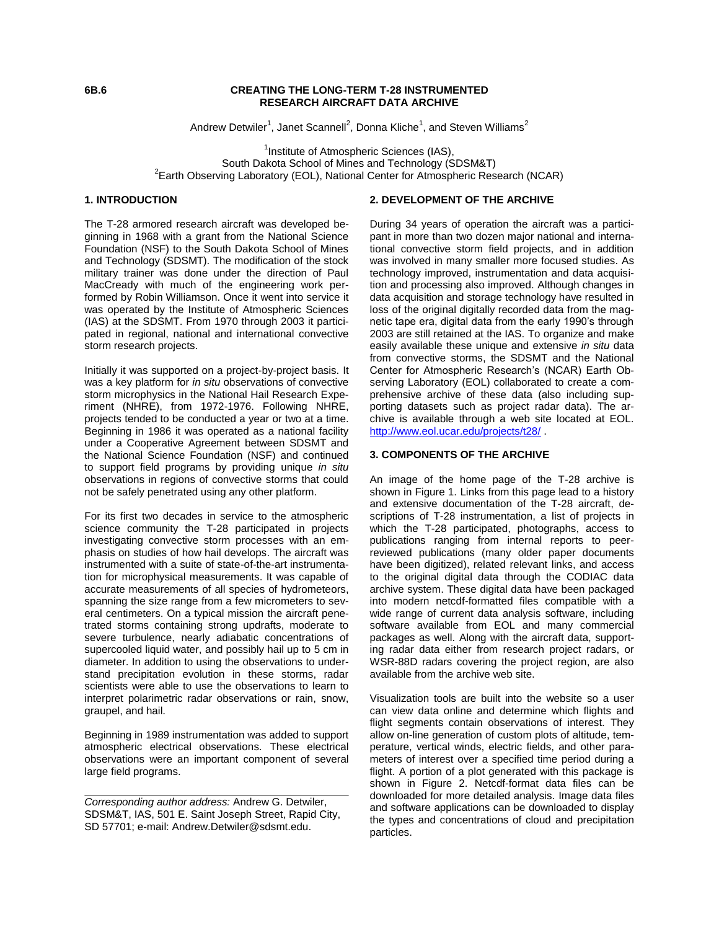### **6B.6 CREATING THE LONG-TERM T-28 INSTRUMENTED RESEARCH AIRCRAFT DATA ARCHIVE**

Andrew Detwiler<sup>1</sup>, Janet Scannell<sup>2</sup>, Donna Kliche<sup>1</sup>, and Steven Williams<sup>2</sup>

<sup>1</sup>Institute of Atmospheric Sciences (IAS), South Dakota School of Mines and Technology (SDSM&T) <sup>2</sup> Earth Observing Laboratory (EOL), National Center for Atmospheric Research (NCAR)

# **1. INTRODUCTION**

The T-28 armored research aircraft was developed beginning in 1968 with a grant from the National Science Foundation (NSF) to the South Dakota School of Mines and Technology (SDSMT). The modification of the stock military trainer was done under the direction of Paul MacCready with much of the engineering work performed by Robin Williamson. Once it went into service it was operated by the Institute of Atmospheric Sciences (IAS) at the SDSMT. From 1970 through 2003 it participated in regional, national and international convective storm research projects.

Initially it was supported on a project-by-project basis. It was a key platform for *in situ* observations of convective storm microphysics in the National Hail Research Experiment (NHRE), from 1972-1976. Following NHRE, projects tended to be conducted a year or two at a time. Beginning in 1986 it was operated as a national facility under a Cooperative Agreement between SDSMT and the National Science Foundation (NSF) and continued to support field programs by providing unique *in situ* observations in regions of convective storms that could not be safely penetrated using any other platform.

For its first two decades in service to the atmospheric science community the T-28 participated in projects investigating convective storm processes with an emphasis on studies of how hail develops. The aircraft was instrumented with a suite of state-of-the-art instrumentation for microphysical measurements. It was capable of accurate measurements of all species of hydrometeors, spanning the size range from a few micrometers to several centimeters. On a typical mission the aircraft penetrated storms containing strong updrafts, moderate to severe turbulence, nearly adiabatic concentrations of supercooled liquid water, and possibly hail up to 5 cm in diameter. In addition to using the observations to understand precipitation evolution in these storms, radar scientists were able to use the observations to learn to interpret polarimetric radar observations or rain, snow, graupel, and hail.

Beginning in 1989 instrumentation was added to support atmospheric electrical observations. These electrical observations were an important component of several large field programs.

## **2. DEVELOPMENT OF THE ARCHIVE**

During 34 years of operation the aircraft was a participant in more than two dozen major national and international convective storm field projects, and in addition was involved in many smaller more focused studies. As technology improved, instrumentation and data acquisition and processing also improved. Although changes in data acquisition and storage technology have resulted in loss of the original digitally recorded data from the magnetic tape era, digital data from the early 1990's through 2003 are still retained at the IAS. To organize and make easily available these unique and extensive *in situ* data from convective storms, the SDSMT and the National Center for Atmospheric Research's (NCAR) Earth Observing Laboratory (EOL) collaborated to create a comprehensive archive of these data (also including supporting datasets such as project radar data). The archive is available through a web site located at EOL. <http://www.eol.ucar.edu/projects/t28/> .

### **3. COMPONENTS OF THE ARCHIVE**

An image of the home page of the T-28 archive is shown in Figure 1. Links from this page lead to a history and extensive documentation of the T-28 aircraft, descriptions of T-28 instrumentation, a list of projects in which the T-28 participated, photographs, access to publications ranging from internal reports to peerreviewed publications (many older paper documents have been digitized), related relevant links, and access to the original digital data through the CODIAC data archive system. These digital data have been packaged into modern netcdf-formatted files compatible with a wide range of current data analysis software, including software available from EOL and many commercial packages as well. Along with the aircraft data, supporting radar data either from research project radars, or WSR-88D radars covering the project region, are also available from the archive web site.

Visualization tools are built into the website so a user can view data online and determine which flights and flight segments contain observations of interest. They allow on-line generation of custom plots of altitude, temperature, vertical winds, electric fields, and other parameters of interest over a specified time period during a flight. A portion of a plot generated with this package is shown in Figure 2. Netcdf-format data files can be downloaded for more detailed analysis. Image data files and software applications can be downloaded to display the types and concentrations of cloud and precipitation particles.

*Corresponding author address:* Andrew G. Detwiler, SDSM&T, IAS, 501 E. Saint Joseph Street, Rapid City, SD 57701; e-mail: Andrew.Detwiler@sdsmt.edu.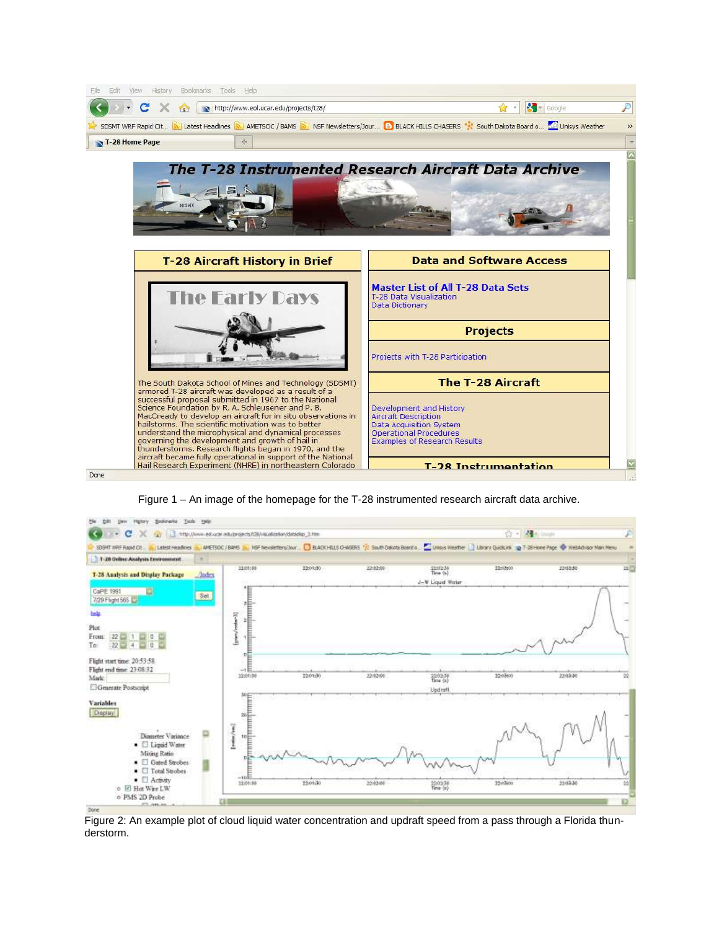

Figure 1 – An image of the homepage for the T-28 instrumented research aircraft data archive.



Figure 2: An example plot of cloud liquid water concentration and updraft speed from a pass through a Florida thunderstorm.